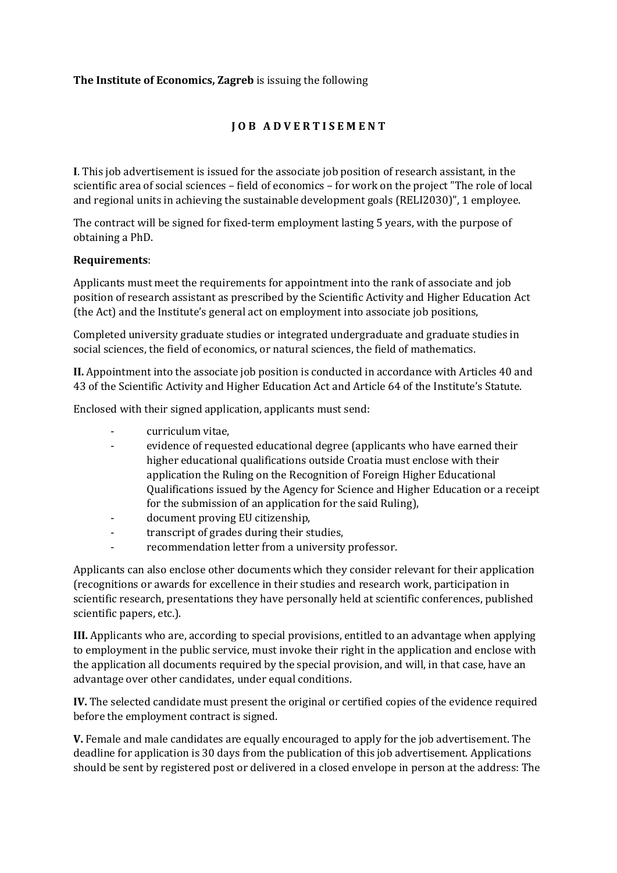## **The Institute of Economics, Zagreb** is issuing the following

## **J O B A D V E R T I S E M E N T**

**I**. This job advertisement is issued for the associate job position of research assistant, in the scientific area of social sciences – field of economics – for work on the project "The role of local and regional units in achieving the sustainable development goals (RELI2030)", 1 employee.

The contract will be signed for fixed-term employment lasting 5 years, with the purpose of obtaining a PhD.

## **Requirements**:

Applicants must meet the requirements for appointment into the rank of associate and job position of research assistant as prescribed by the Scientific Activity and Higher Education Act (the Act) and the Institute's general act on employment into associate job positions,

Completed university graduate studies or integrated undergraduate and graduate studies in social sciences, the field of economics, or natural sciences, the field of mathematics.

**II.** Appointment into the associate job position is conducted in accordance with Articles 40 and 43 of the Scientific Activity and Higher Education Act and Article 64 of the Institute's Statute.

Enclosed with their signed application, applicants must send:

- curriculum vitae,
- evidence of requested educational degree (applicants who have earned their higher educational qualifications outside Croatia must enclose with their application the Ruling on the Recognition of Foreign Higher Educational Qualifications issued by the Agency for Science and Higher Education or a receipt for the submission of an application for the said Ruling),
- document proving EU citizenship,
- transcript of grades during their studies,
- recommendation letter from a university professor.

Applicants can also enclose other documents which they consider relevant for their application (recognitions or awards for excellence in their studies and research work, participation in scientific research, presentations they have personally held at scientific conferences, published scientific papers, etc.).

**III.** Applicants who are, according to special provisions, entitled to an advantage when applying to employment in the public service, must invoke their right in the application and enclose with the application all documents required by the special provision, and will, in that case, have an advantage over other candidates, under equal conditions.

**IV.** The selected candidate must present the original or certified copies of the evidence required before the employment contract is signed.

**V.** Female and male candidates are equally encouraged to apply for the job advertisement. The deadline for application is 30 days from the publication of this job advertisement. Applications should be sent by registered post or delivered in a closed envelope in person at the address: The